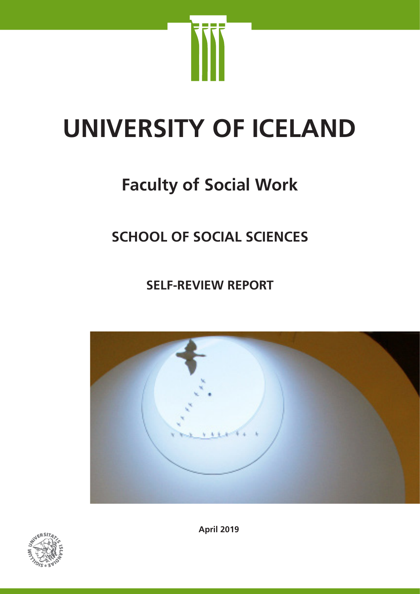

# **UNIVERSITY OF ICELAND**

# **Faculty of Social Work**

# **SCHOOL OF SOCIAL SCIENCES**

**SELF-REVIEW REPORT**





**April 2019**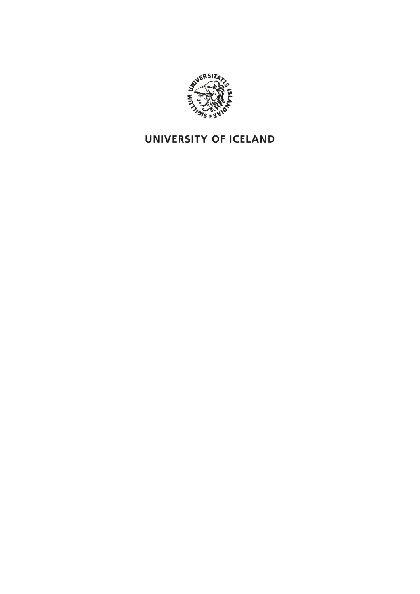

# UNIVERSITY OF ICELAND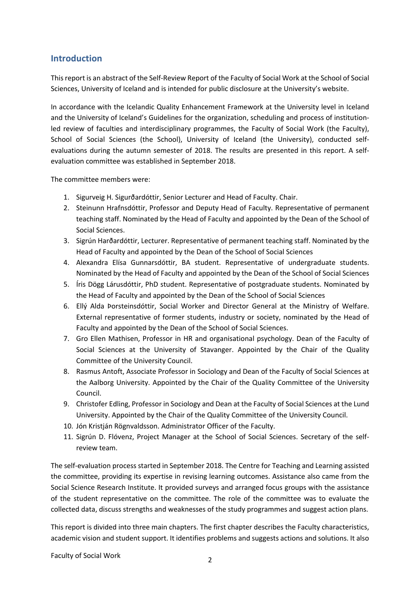# **Introduction**

This report is an abstract of the Self-Review Report of the Faculty of Social Work at the School of Social Sciences, University of Iceland and is intended for public disclosure at the University's website.

In accordance with the Icelandic Quality Enhancement Framework at the University level in Iceland and the University of Iceland's Guidelines for the organization, scheduling and process of institutionled review of faculties and interdisciplinary programmes, the Faculty of Social Work (the Faculty), School of Social Sciences (the School), University of Iceland (the University), conducted selfevaluations during the autumn semester of 2018. The results are presented in this report. A selfevaluation committee was established in September 2018.

The committee members were:

- 1. Sigurveig H. Sigurðardóttir, Senior Lecturer and Head of Faculty. Chair.
- 2. Steinunn Hrafnsdóttir, Professor and Deputy Head of Faculty. Representative of permanent teaching staff. Nominated by the Head of Faculty and appointed by the Dean of the School of Social Sciences.
- 3. Sigrún Harðardóttir, Lecturer. Representative of permanent teaching staff. Nominated by the Head of Faculty and appointed by the Dean of the School of Social Sciences
- 4. Alexandra Elísa Gunnarsdóttir, BA student. Representative of undergraduate students. Nominated by the Head of Faculty and appointed by the Dean of the School of Social Sciences
- 5. Íris Dögg Lárusdóttir, PhD student. Representative of postgraduate students. Nominated by the Head of Faculty and appointed by the Dean of the School of Social Sciences
- 6. Ellý Alda Þorsteinsdóttir, Social Worker and Director General at the Ministry of Welfare. External representative of former students, industry or society, nominated by the Head of Faculty and appointed by the Dean of the School of Social Sciences.
- 7. Gro Ellen Mathisen, Professor in HR and organisational psychology. Dean of the Faculty of Social Sciences at the University of Stavanger. Appointed by the Chair of the Quality Committee of the University Council.
- 8. Rasmus Antoft, Associate Professor in Sociology and Dean of the Faculty of Social Sciences at the Aalborg University. Appointed by the Chair of the Quality Committee of the University Council.
- 9. Christofer Edling, Professor in Sociology and Dean at the Faculty of Social Sciences at the Lund University. Appointed by the Chair of the Quality Committee of the University Council.
- 10. Jón Kristján Rögnvaldsson. Administrator Officer of the Faculty.
- 11. Sigrún D. Flóvenz, Project Manager at the School of Social Sciences. Secretary of the selfreview team.

The self-evaluation process started in September 2018. The Centre for Teaching and Learning assisted the committee, providing its expertise in revising learning outcomes. Assistance also came from the Social Science Research Institute. It provided surveys and arranged focus groups with the assistance of the student representative on the committee. The role of the committee was to evaluate the collected data, discuss strengths and weaknesses of the study programmes and suggest action plans.

This report is divided into three main chapters. The first chapter describes the Faculty characteristics, academic vision and student support. It identifies problems and suggests actions and solutions. It also

Faculty of Social Work 2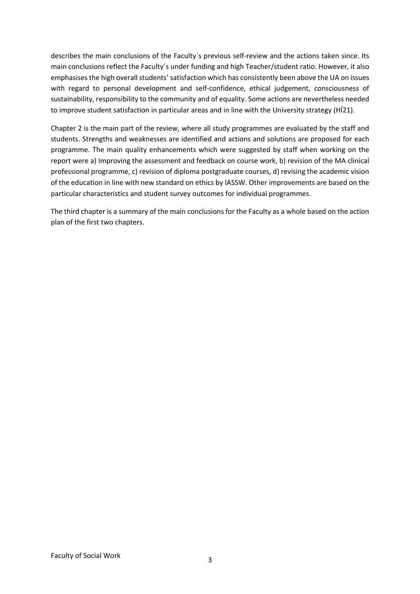describes the main conclusions of the Faculty´s previous self-review and the actions taken since. Its main conclusions reflect the Faculty´s under funding and high Teacher/student ratio. However, it also emphasises the high overall students' satisfaction which has consistently been above the UA on issues with regard to personal development and self-confidence, ethical judgement, consciousness of sustainability, responsibility to the community and of equality. Some actions are nevertheless needed to improve student satisfaction in particular areas and in line with the University strategy (HÍ21).

Chapter 2 is the main part of the review, where all study programmes are evaluated by the staff and students. Strengths and weaknesses are identified and actions and solutions are proposed for each programme. The main quality enhancements which were suggested by staff when working on the report were a) Improving the assessment and feedback on course work, b) revision of the MA clinical professional programme, c) revision of diploma postgraduate courses, d) revising the academic vision of the education in line with new standard on ethics by IASSW. Other improvements are based on the particular characteristics and student survey outcomes for individual programmes.

The third chapter is a summary of the main conclusions for the Faculty as a whole based on the action plan of the first two chapters.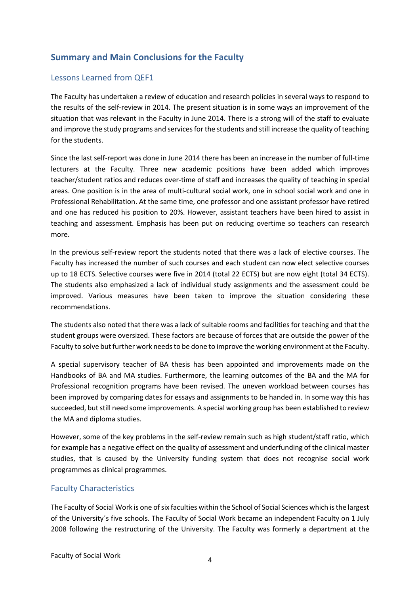# **Summary and Main Conclusions for the Faculty**

# Lessons Learned from QEF1

The Faculty has undertaken a review of education and research policies in several ways to respond to the results of the self-review in 2014. The present situation is in some ways an improvement of the situation that was relevant in the Faculty in June 2014. There is a strong will of the staff to evaluate and improve the study programs and services for the students and still increase the quality of teaching for the students.

Since the last self-report was done in June 2014 there has been an increase in the number of full-time lecturers at the Faculty. Three new academic positions have been added which improves teacher/student ratios and reduces over-time of staff and increases the quality of teaching in special areas. One position is in the area of multi-cultural social work, one in school social work and one in Professional Rehabilitation. At the same time, one professor and one assistant professor have retired and one has reduced his position to 20%. However, assistant teachers have been hired to assist in teaching and assessment. Emphasis has been put on reducing overtime so teachers can research more.

In the previous self-review report the students noted that there was a lack of elective courses. The Faculty has increased the number of such courses and each student can now elect selective courses up to 18 ECTS. Selective courses were five in 2014 (total 22 ECTS) but are now eight (total 34 ECTS). The students also emphasized a lack of individual study assignments and the assessment could be improved. Various measures have been taken to improve the situation considering these recommendations.

The students also noted that there was a lack of suitable rooms and facilities for teaching and that the student groups were oversized. These factors are because of forces that are outside the power of the Faculty to solve but further work needs to be done to improve the working environment at the Faculty.

A special supervisory teacher of BA thesis has been appointed and improvements made on the Handbooks of BA and MA studies. Furthermore, the learning outcomes of the BA and the MA for Professional recognition programs have been revised. The uneven workload between courses has been improved by comparing dates for essays and assignments to be handed in. In some way this has succeeded, but still need some improvements. A special working group has been established to review the MA and diploma studies.

However, some of the key problems in the self-review remain such as high student/staff ratio, which for example has a negative effect on the quality of assessment and underfunding of the clinical master studies, that is caused by the University funding system that does not recognise social work programmes as clinical programmes.

# Faculty Characteristics

The Faculty of Social Work is one of six faculties within the School of Social Sciences which is the largest of the University´s five schools. The Faculty of Social Work became an independent Faculty on 1 July 2008 following the restructuring of the University. The Faculty was formerly a department at the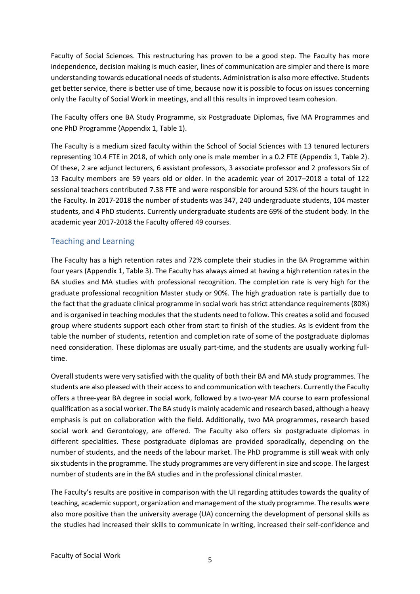Faculty of Social Sciences. This restructuring has proven to be a good step. The Faculty has more independence, decision making is much easier, lines of communication are simpler and there is more understanding towards educational needs of students. Administration is also more effective. Students get better service, there is better use of time, because now it is possible to focus on issues concerning only the Faculty of Social Work in meetings, and all this results in improved team cohesion.

The Faculty offers one BA Study Programme, six Postgraduate Diplomas, five MA Programmes and one PhD Programme (Appendix 1, Table 1).

The Faculty is a medium sized faculty within the School of Social Sciences with 13 tenured lecturers representing 10.4 FTE in 2018, of which only one is male member in a 0.2 FTE (Appendix 1, Table 2). Of these, 2 are adjunct lecturers, 6 assistant professors, 3 associate professor and 2 professors Six of 13 Faculty members are 59 years old or older. In the academic year of 2017–2018 a total of 122 sessional teachers contributed 7.38 FTE and were responsible for around 52% of the hours taught in the Faculty. In 2017-2018 the number of students was 347, 240 undergraduate students, 104 master students, and 4 PhD students. Currently undergraduate students are 69% of the student body. In the academic year 2017-2018 the Faculty offered 49 courses.

# Teaching and Learning

The Faculty has a high retention rates and 72% complete their studies in the BA Programme within four years (Appendix 1, Table 3). The Faculty has always aimed at having a high retention rates in the BA studies and MA studies with professional recognition. The completion rate is very high for the graduate professional recognition Master study or 90%. The high graduation rate is partially due to the fact that the graduate clinical programme in social work has strict attendance requirements (80%) and is organised in teaching modules that the students need to follow. This creates a solid and focused group where students support each other from start to finish of the studies. As is evident from the table the number of students, retention and completion rate of some of the postgraduate diplomas need consideration. These diplomas are usually part-time, and the students are usually working fulltime.

Overall students were very satisfied with the quality of both their BA and MA study programmes. The students are also pleased with their access to and communication with teachers. Currently the Faculty offers a three-year BA degree in social work, followed by a two-year MA course to earn professional qualification as a social worker. The BA study is mainly academic and research based, although a heavy emphasis is put on collaboration with the field. Additionally, two MA programmes, research based social work and Gerontology, are offered. The Faculty also offers six postgraduate diplomas in different specialities. These postgraduate diplomas are provided sporadically, depending on the number of students, and the needs of the labour market. The PhD programme is still weak with only six students in the programme. The study programmes are very different in size and scope. The largest number of students are in the BA studies and in the professional clinical master.

The Faculty's results are positive in comparison with the UI regarding attitudes towards the quality of teaching, academic support, organization and management of the study programme. The results were also more positive than the university average (UA) concerning the development of personal skills as the studies had increased their skills to communicate in writing, increased their self-confidence and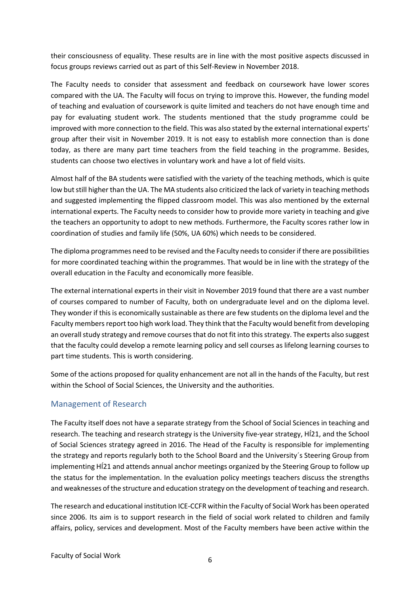their consciousness of equality. These results are in line with the most positive aspects discussed in focus groups reviews carried out as part of this Self-Review in November 2018.

The Faculty needs to consider that assessment and feedback on coursework have lower scores compared with the UA. The Faculty will focus on trying to improve this. However, the funding model of teaching and evaluation of coursework is quite limited and teachers do not have enough time and pay for evaluating student work. The students mentioned that the study programme could be improved with more connection to the field. This was also stated by the external international experts' group after their visit in November 2019. It is not easy to establish more connection than is done today, as there are many part time teachers from the field teaching in the programme. Besides, students can choose two electives in voluntary work and have a lot of field visits.

Almost half of the BA students were satisfied with the variety of the teaching methods, which is quite low but still higher than the UA. The MA students also criticized the lack of variety in teaching methods and suggested implementing the flipped classroom model. This was also mentioned by the external international experts. The Faculty needs to consider how to provide more variety in teaching and give the teachers an opportunity to adopt to new methods. Furthermore, the Faculty scores rather low in coordination of studies and family life (50%, UA 60%) which needs to be considered.

The diploma programmes need to be revised and the Faculty needs to consider if there are possibilities for more coordinated teaching within the programmes. That would be in line with the strategy of the overall education in the Faculty and economically more feasible.

The external international experts in their visit in November 2019 found that there are a vast number of courses compared to number of Faculty, both on undergraduate level and on the diploma level. They wonder if this is economically sustainable as there are few students on the diploma level and the Faculty members report too high work load. They think that the Faculty would benefit from developing an overall study strategy and remove courses that do not fit into this strategy. The experts also suggest that the faculty could develop a remote learning policy and sell courses as lifelong learning courses to part time students. This is worth considering.

Some of the actions proposed for quality enhancement are not all in the hands of the Faculty, but rest within the School of Social Sciences, the University and the authorities.

# Management of Research

The Faculty itself does not have a separate strategy from the School of Social Sciences in teaching and research. The teaching and research strategy is the University five-year strategy, HÍ21, and the School of Social Sciences strategy agreed in 2016. The Head of the Faculty is responsible for implementing the strategy and reports regularly both to the School Board and the University´s Steering Group from implementing HÍ21 and attends annual anchor meetings organized by the Steering Group to follow up the status for the implementation. In the evaluation policy meetings teachers discuss the strengths and weaknesses of the structure and education strategy on the development of teaching and research.

The research and educational institution ICE-CCFR within the Faculty of Social Work has been operated since 2006. Its aim is to support research in the field of social work related to children and family affairs, policy, services and development. Most of the Faculty members have been active within the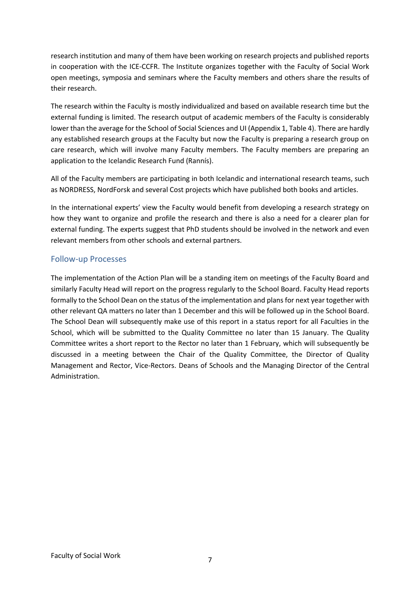research institution and many of them have been working on research projects and published reports in cooperation with the ICE-CCFR. The Institute organizes together with the Faculty of Social Work open meetings, symposia and seminars where the Faculty members and others share the results of their research.

The research within the Faculty is mostly individualized and based on available research time but the external funding is limited. The research output of academic members of the Faculty is considerably lower than the average for the School of Social Sciences and UI (Appendix 1, Table 4). There are hardly any established research groups at the Faculty but now the Faculty is preparing a research group on care research, which will involve many Faculty members. The Faculty members are preparing an application to the Icelandic Research Fund (Rannís).

All of the Faculty members are participating in both Icelandic and international research teams, such as NORDRESS, NordForsk and several Cost projects which have published both books and articles.

In the international experts' view the Faculty would benefit from developing a research strategy on how they want to organize and profile the research and there is also a need for a clearer plan for external funding. The experts suggest that PhD students should be involved in the network and even relevant members from other schools and external partners.

# Follow-up Processes

The implementation of the Action Plan will be a standing item on meetings of the Faculty Board and similarly Faculty Head will report on the progress regularly to the School Board. Faculty Head reports formally to the School Dean on the status of the implementation and plans for next year together with other relevant QA matters no later than 1 December and this will be followed up in the School Board. The School Dean will subsequently make use of this report in a status report for all Faculties in the School, which will be submitted to the Quality Committee no later than 15 January. The Quality Committee writes a short report to the Rector no later than 1 February, which will subsequently be discussed in a meeting between the Chair of the Quality Committee, the Director of Quality Management and Rector, Vice-Rectors. Deans of Schools and the Managing Director of the Central Administration.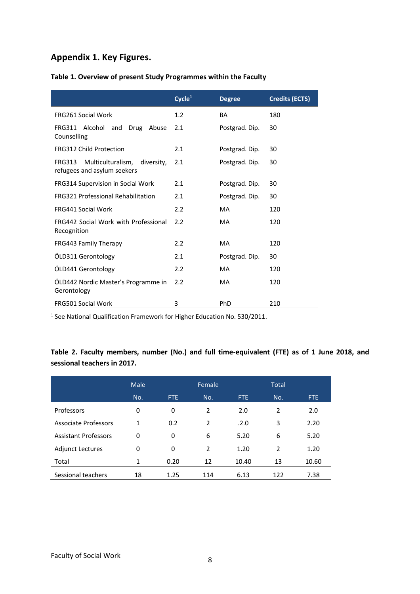# **Appendix 1. Key Figures.**

|                                                                                 | Cycle <sup>1</sup> | <b>Degree</b>  | <b>Credits (ECTS)</b> |
|---------------------------------------------------------------------------------|--------------------|----------------|-----------------------|
| <b>FRG261 Social Work</b>                                                       | 1.2                | BA             | 180                   |
| FRG311 Alcohol and<br>Drug Abuse<br>Counselling                                 | 2.1                | Postgrad. Dip. | 30                    |
| <b>FRG312 Child Protection</b>                                                  | 2.1                | Postgrad. Dip. | 30                    |
| <b>FRG313</b><br>Multiculturalism,<br>diversity,<br>refugees and asylum seekers | 2.1                | Postgrad. Dip. | 30                    |
| FRG314 Supervision in Social Work                                               | 2.1                | Postgrad. Dip. | 30                    |
| <b>FRG321 Professional Rehabilitation</b>                                       | 2.1                | Postgrad. Dip. | 30                    |
| <b>FRG441 Social Work</b>                                                       | 2.2                | <b>MA</b>      | 120                   |
| <b>FRG442 Social Work with Professional</b><br>Recognition                      | $2.2^{\circ}$      | MA             | 120                   |
| FRG443 Family Therapy                                                           | 2.2                | <b>MA</b>      | 120                   |
| ÖLD311 Gerontology                                                              | 2.1                | Postgrad. Dip. | 30                    |
| ÖLD441 Gerontology                                                              | 2.2                | MA             | 120                   |
| OLD442 Nordic Master's Programme in<br>Gerontology                              | 2.2                | <b>MA</b>      | 120                   |
| <b>FRG501 Social Work</b>                                                       | 3                  | PhD            | 210                   |

# **Table 1. Overview of present Study Programmes within the Faculty**

<sup>1</sup> See National Qualification Framework for Higher Education No. 530/2011.

# **Table 2. Faculty members, number (No.) and full time-equivalent (FTE) as of 1 June 2018, and sessional teachers in 2017.**

|                             | <b>Male</b> |      | Female |       | <b>Total</b> |            |
|-----------------------------|-------------|------|--------|-------|--------------|------------|
|                             | No.         | FTE. | No.    | FTE.  | No.          | <b>FTE</b> |
| Professors                  | 0           | 0    | 2      | 2.0   | 2            | 2.0        |
| <b>Associate Professors</b> | 1           | 0.2  | 2      | .2.0  | 3            | 2.20       |
| <b>Assistant Professors</b> | 0           | 0    | 6      | 5.20  | 6            | 5.20       |
| <b>Adjunct Lectures</b>     | 0           | 0    | 2      | 1.20  | 2            | 1.20       |
| Total                       | 1           | 0.20 | 12     | 10.40 | 13           | 10.60      |
| Sessional teachers          | 18          | 1.25 | 114    | 6.13  | 122          | 7.38       |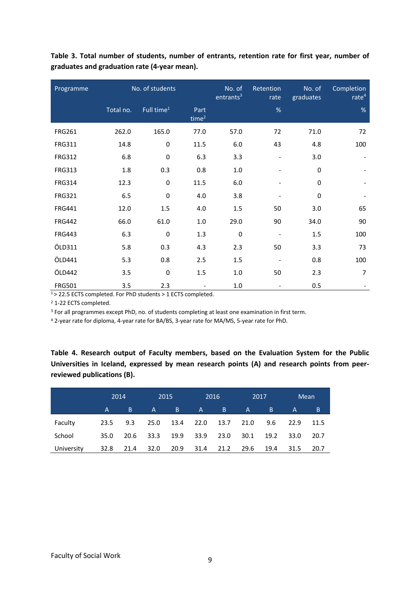| Programme     |           | No. of students        |                  | No. of<br>entrants <sup>3</sup> | Retention<br>rate | No. of<br>graduates | Completion<br>rate <sup>4</sup> |
|---------------|-----------|------------------------|------------------|---------------------------------|-------------------|---------------------|---------------------------------|
|               | Total no. | Full time <sup>1</sup> | Part<br>time $2$ |                                 | $\%$              |                     | %                               |
| <b>FRG261</b> | 262.0     | 165.0                  | 77.0             | 57.0                            | 72                | 71.0                | 72                              |
| <b>FRG311</b> | 14.8      | 0                      | 11.5             | 6.0                             | 43                | 4.8                 | 100                             |
| <b>FRG312</b> | 6.8       | $\pmb{0}$              | 6.3              | 3.3                             |                   | 3.0                 |                                 |
| <b>FRG313</b> | 1.8       | 0.3                    | 0.8              | $1.0\,$                         |                   | 0                   |                                 |
| <b>FRG314</b> | 12.3      | $\mathbf 0$            | 11.5             | 6.0                             |                   | $\Omega$            |                                 |
| <b>FRG321</b> | 6.5       | $\pmb{0}$              | 4.0              | 3.8                             |                   | 0                   |                                 |
| <b>FRG441</b> | 12.0      | 1.5                    | 4.0              | 1.5                             | 50                | 3.0                 | 65                              |
| <b>FRG442</b> | 66.0      | 61.0                   | 1.0              | 29.0                            | 90                | 34.0                | 90                              |
| <b>FRG443</b> | 6.3       | $\mathbf 0$            | 1.3              | $\pmb{0}$                       |                   | 1.5                 | 100                             |
| ÖLD311        | 5.8       | 0.3                    | 4.3              | 2.3                             | 50                | 3.3                 | 73                              |
| ÖLD441        | 5.3       | 0.8                    | 2.5              | 1.5                             |                   | 0.8                 | 100                             |
| ÖLD442        | 3.5       | $\mathbf 0$            | 1.5              | 1.0                             | 50                | 2.3                 | $\overline{7}$                  |
| <b>FRG501</b> | 3.5       | 2.3                    |                  | 1.0                             |                   | 0.5                 |                                 |

**Table 3. Total number of students, number of entrants, retention rate for first year, number of graduates and graduation rate (4-year mean).**

1> 22.5 ECTS completed. For PhD students > 1 ECTS completed.

<sup>2</sup> 1-22 ECTS completed.

<sup>3</sup> For all programmes except PhD, no. of students completing at least one examination in first term.

<sup>4</sup> 2-year rate for diploma, 4-year rate for BA/BS, 3-year rate for MA/MS, 5-year rate for PhD.

**Table 4. Research output of Faculty members, based on the Evaluation System for the Public Universities in Iceland, expressed by mean research points (A) and research points from peerreviewed publications (B).**

|            |      | 2014 |      | 2015 |              | 2016      |        | 2017 |      | Mean |
|------------|------|------|------|------|--------------|-----------|--------|------|------|------|
|            | A    | B.   | A.   | B    | $\mathsf{A}$ | <b>Β.</b> | 'A'    | B    | A    | B    |
| Faculty    | 23.5 | 9.3  | 25.0 | 13.4 |              | 22.0 13.7 | 21.0   | 9.6  | 22.9 | 11.5 |
| School     | 35.0 | 20.6 | 33.3 | 19.9 | 33.9         | 23.0      | 30.1   | 19.2 | 33.0 | 20.7 |
| University | 32.8 | 21.4 | 32.0 | 20.9 | 31.4         | 21.2      | - 29.6 | 19.4 | 31.5 | 20.7 |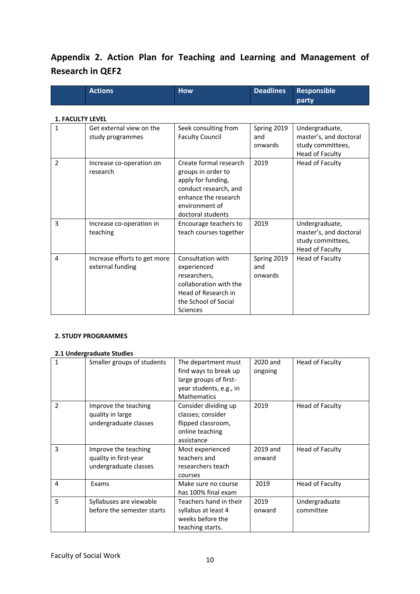# **Appendix 2. Action Plan for Teaching and Learning and Management of Research in QEF2**

| <b>Actions</b> | <b>How</b> | Deadlines Responsible |
|----------------|------------|-----------------------|
|                |            | party                 |

#### **1. FACULTY LEVEL**

| $\mathbf{1}$ | Get external view on the<br>study programmes     | Seek consulting from<br><b>Faculty Council</b>                                                                                                             | Spring 2019<br>and<br>onwards | Undergraduate,<br>master's, and doctoral<br>study committees,<br>Head of Faculty |
|--------------|--------------------------------------------------|------------------------------------------------------------------------------------------------------------------------------------------------------------|-------------------------------|----------------------------------------------------------------------------------|
| 2            | Increase co-operation on<br>research             | Create formal research<br>groups in order to<br>apply for funding,<br>conduct research, and<br>enhance the research<br>environment of<br>doctoral students | 2019                          | Head of Faculty                                                                  |
| 3            | Increase co-operation in<br>teaching             | Encourage teachers to<br>teach courses together                                                                                                            | 2019                          | Undergraduate,<br>master's, and doctoral<br>study committees,<br>Head of Faculty |
| 4            | Increase efforts to get more<br>external funding | Consultation with<br>experienced<br>researchers,<br>collaboration with the<br>Head of Research in<br>the School of Social<br><b>Sciences</b>               | Spring 2019<br>and<br>onwards | Head of Faculty                                                                  |

### **2. STUDY PROGRAMMES**

#### **2.1 Undergraduate Studies**

| 1 | Smaller groups of students                                             | The department must<br>find ways to break up<br>large groups of first-<br>year students, e.g., in<br><b>Mathematics</b> | 2020 and<br>ongoing | Head of Faculty            |
|---|------------------------------------------------------------------------|-------------------------------------------------------------------------------------------------------------------------|---------------------|----------------------------|
| 2 | Improve the teaching<br>quality in large<br>undergraduate classes      | Consider dividing up<br>classes; consider<br>flipped classroom,<br>online teaching<br>assistance                        | 2019                | Head of Faculty            |
| 3 | Improve the teaching<br>quality in first-year<br>undergraduate classes | Most experienced<br>teachers and<br>researchers teach<br>courses                                                        | 2019 and<br>onward  | Head of Faculty            |
| 4 | Exams                                                                  | Make sure no course<br>has 100% final exam                                                                              | 2019                | Head of Faculty            |
| 5 | Syllabuses are viewable<br>before the semester starts                  | Teachers hand in their<br>syllabus at least 4<br>weeks before the<br>teaching starts.                                   | 2019<br>onward      | Undergraduate<br>committee |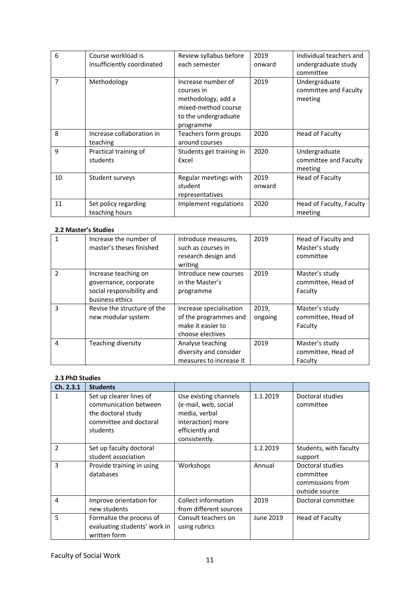| 6              | Course workload is<br>insufficiently coordinated | Review syllabus before<br>each semester                                                                            | 2019<br>onward | Individual teachers and<br>undergraduate study<br>committee |
|----------------|--------------------------------------------------|--------------------------------------------------------------------------------------------------------------------|----------------|-------------------------------------------------------------|
| $\overline{7}$ | Methodology                                      | Increase number of<br>courses in<br>methodology, add a<br>mixed-method course<br>to the undergraduate<br>programme | 2019           | Undergraduate<br>committee and Faculty<br>meeting           |
| 8              | Increase collaboration in<br>teaching            | Teachers form groups<br>around courses                                                                             | 2020           | Head of Faculty                                             |
| 9              | Practical training of<br>students                | Students get training in<br>Excel                                                                                  | 2020           | Undergraduate<br>committee and Faculty<br>meeting           |
| 10             | Student surveys                                  | Regular meetings with<br>student<br>representatives                                                                | 2019<br>onward | Head of Faculty                                             |
| 11             | Set policy regarding<br>teaching hours           | Implement regulations                                                                                              | 2020           | Head of Faculty, Faculty<br>meeting                         |

# **2.2 Master's Studies**

|                | Increase the number of<br>master's theses finished                                            | Introduce measures,<br>such as courses in<br>research design and<br>writing               | 2019             | Head of Faculty and<br>Master's study<br>committee |
|----------------|-----------------------------------------------------------------------------------------------|-------------------------------------------------------------------------------------------|------------------|----------------------------------------------------|
| $\mathfrak{p}$ | Increase teaching on<br>governance, corporate<br>social responsibility and<br>business ethics | Introduce new courses<br>in the Master's<br>programme                                     | 2019             | Master's study<br>committee, Head of<br>Faculty    |
| 3              | Revise the structure of the<br>new modular system                                             | Increase specialisation<br>of the programmes and<br>make it easier to<br>choose electives | 2019,<br>ongoing | Master's study<br>committee, Head of<br>Faculty    |
| 4              | Teaching diversity                                                                            | Analyse teaching<br>diversity and consider<br>measures to increase it                     | 2019             | Master's study<br>committee, Head of<br>Faculty    |

### **2.3 PhD Studies**

| Ch. 2.3.1     | <b>Students</b>                                                                                              |                                                                                                                         |           |                                                                     |
|---------------|--------------------------------------------------------------------------------------------------------------|-------------------------------------------------------------------------------------------------------------------------|-----------|---------------------------------------------------------------------|
| 1             | Set up clearer lines of<br>communication between<br>the doctoral study<br>committee and doctoral<br>students | Use existing channels<br>(e-mail, web, social<br>media, verbal<br>interaction) more<br>efficiently and<br>consistently. | 1.1.2019  | Doctoral studies<br>committee                                       |
| $\mathfrak z$ | Set up faculty doctoral<br>student association                                                               |                                                                                                                         | 1.2.2019  | Students, with faculty<br>support                                   |
| 3             | Provide training in using<br>databases                                                                       | Workshops                                                                                                               | Annual    | Doctoral studies<br>committee<br>commissions from<br>outside source |
| 4             | Improve orientation for<br>new students                                                                      | Collect information<br>from different sources                                                                           | 2019      | Doctoral committee                                                  |
| 5             | Formalize the process of<br>evaluating students' work in<br>written form                                     | Consult teachers on<br>using rubrics                                                                                    | June 2019 | Head of Faculty                                                     |